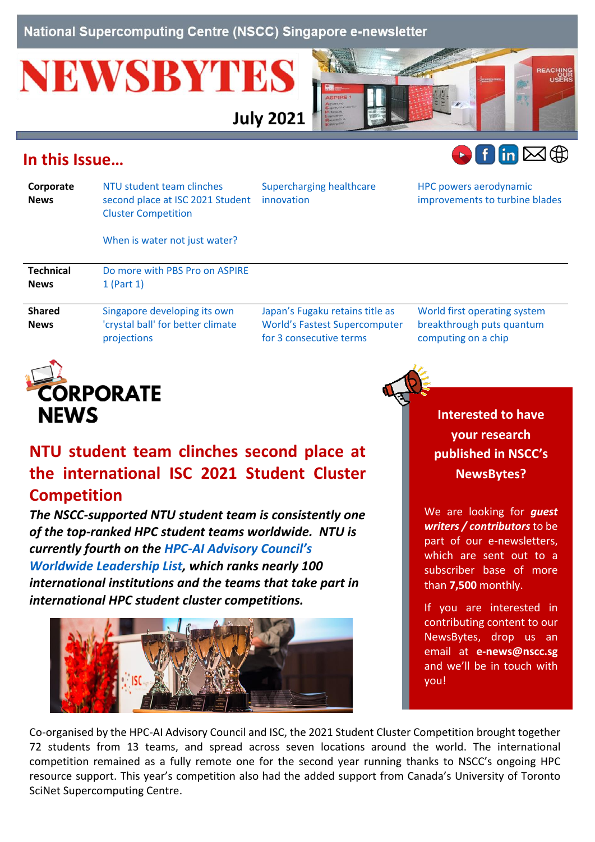National Supercomputing Centre (NSCC) Singapore e-newsletter

# **NEWSBYTES**



## <span id="page-0-1"></span>**In this Issue…**



| Corporate<br><b>News</b> | NTU student team clinches<br>second place at ISC 2021 Student<br><b>Cluster Competition</b> | <b>Supercharging healthcare</b><br>innovation | HPC powers aerodynamic<br>improvements to turbine blades |
|--------------------------|---------------------------------------------------------------------------------------------|-----------------------------------------------|----------------------------------------------------------|
|                          | When is water not just water?                                                               |                                               |                                                          |
| <b>Technical</b>         | Do more with PBS Pro on ASPIRE                                                              |                                               |                                                          |
| <b>News</b>              | $1$ (Part $1$ )                                                                             |                                               |                                                          |
| <b>Shared</b>            | Singapore developing its own                                                                | Japan's Fugaku retains title as               | World first operating system                             |
| <b>News</b>              | 'crystal ball' for better climate                                                           | <b>World's Fastest Supercomputer</b>          | breakthrough puts quantum                                |

[for 3 consecutive terms](#page-5-0)



[projections](#page-4-1)

# <span id="page-0-0"></span>**NTU student team clinches second place at the international ISC 2021 Student Cluster Competition**

*The NSCC-supported NTU student team is consistently one of the top-ranked HPC student teams worldwide. NTU is currently fourth on the HPC-[AI Advisory Council's](http://www.hpcadvisorycouncil.com/worldwide-leadership-list.php)  [Worldwide Leadership List,](http://www.hpcadvisorycouncil.com/worldwide-leadership-list.php) which ranks nearly 100 international institutions and the teams that take part in international HPC student cluster competitions.*



**Interested to have your research published in NSCC's NewsBytes?**

[computing on a chip](#page-5-1)

We are looking for *guest writers / contributors* to be part of our e-newsletters, which are sent out to a subscriber base of more than **7,500** monthly.

If you are interested in contributing content to our NewsBytes, drop us an email at **[e-news@nscc.sg](mailto:e-news@nscc.sg)** and we'll be in touch with you!

Co-organised by the HPC-AI Advisory Council and ISC, the 2021 Student Cluster Competition brought together 72 students from 13 teams, and spread across seven locations around the world. The international competition remained as a fully remote one for the second year running thanks to NSCC's ongoing HPC resource support. This year's competition also had the added support from Canada's University of Toronto SciNet Supercomputing Centre.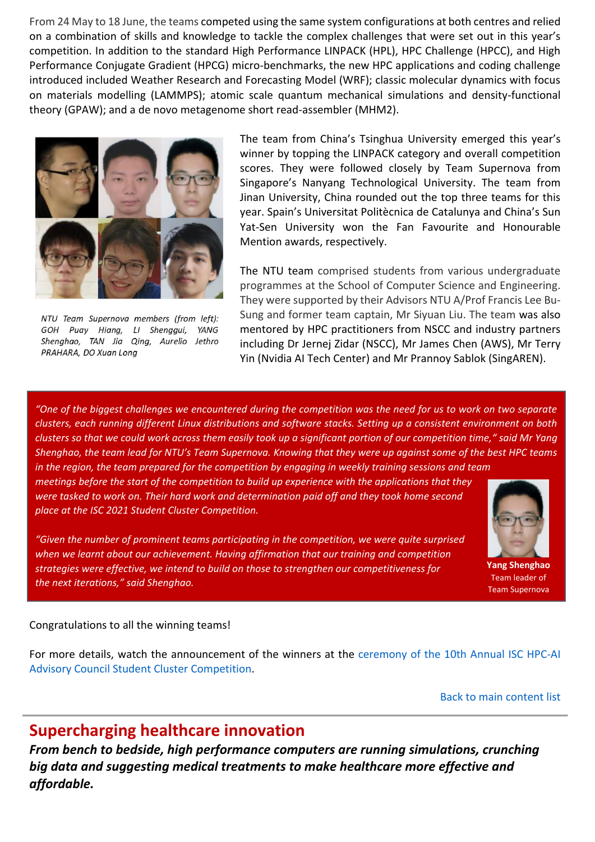From 24 May to 18 June, the teams competed using the same system configurations at both centres and relied on a combination of skills and knowledge to tackle the complex challenges that were set out in this year's competition. In addition to the standard High Performance LINPACK (HPL), HPC Challenge (HPCC), and High Performance Conjugate Gradient (HPCG) micro-benchmarks, the new HPC applications and coding challenge introduced included Weather Research and Forecasting Model (WRF); classic molecular dynamics with focus on materials modelling (LAMMPS); atomic scale quantum mechanical simulations and density-functional theory (GPAW); and a de novo metagenome short read-assembler (MHM2).



NTU Team Supernova members (from left): GOH Puay Hiang, LI Shenggui, YANG Shenghao, TAN Jia Qing, Aurelio Jethro PRAHARA, DO Xuan Long

The team from China's Tsinghua University emerged this year's winner by topping the LINPACK category and overall competition scores. They were followed closely by Team Supernova from Singapore's Nanyang Technological University. The team from Jinan University, China rounded out the top three teams for this year. Spain's Universitat Politècnica de Catalunya and China's Sun Yat-Sen University won the Fan Favourite and Honourable Mention awards, respectively.

The NTU team comprised students from various undergraduate programmes at the School of Computer Science and Engineering. They were supported by their Advisors NTU A/Prof Francis Lee Bu-Sung and former team captain, Mr Siyuan Liu. The team was also mentored by HPC practitioners from NSCC and industry partners including Dr Jernej Zidar (NSCC), Mr James Chen (AWS), Mr Terry Yin (Nvidia AI Tech Center) and Mr Prannoy Sablok (SingAREN).

*"One of the biggest challenges we encountered during the competition was the need for us to work on two separate clusters, each running different Linux distributions and software stacks. Setting up a consistent environment on both clusters so that we could work across them easily took up a significant portion of our competition time," said Mr Yang Shenghao, the team lead for NTU's Team Supernova. Knowing that they were up against some of the best HPC teams* 

*in the region, the team prepared for the competition by engaging in weekly training sessions and team meetings before the start of the competition to build up experience with the applications that they were tasked to work on. Their hard work and determination paid off and they took home second place at the ISC 2021 Student Cluster Competition.*

*"Given the number of prominent teams participating in the competition, we were quite surprised when we learnt about our achievement. Having affirmation that our training and competition strategies were effective, we intend to build on those to strengthen our competitiveness for the next iterations," said Shenghao.*



**Yang Shenghao** Team leader of Team Supernova

#### Congratulations to all the winning teams!

For more details, watch the announcement of the winners at the [ceremony of the 10th Annual ISC HPC-AI](https://www.hpcadvisorycouncil.com/events/student-cluster-competition/)  [Advisory Council Student Cluster Competition.](https://www.hpcadvisorycouncil.com/events/student-cluster-competition/)

[Back to main content list](#page-0-1)

## <span id="page-1-0"></span>**Supercharging healthcare innovation**

*From bench to bedside, high performance computers are running simulations, crunching big data and suggesting medical treatments to make healthcare more effective and affordable.*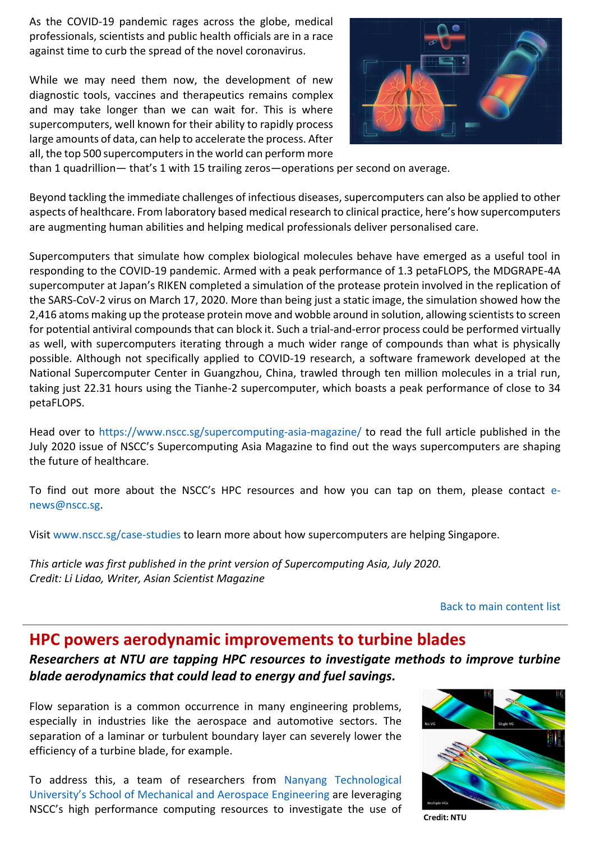As the COVID-19 pandemic rages across the globe, medical professionals, scientists and public health officials are in a race against time to curb the spread of the novel coronavirus.

While we may need them now, the development of new diagnostic tools, vaccines and therapeutics remains complex and may take longer than we can wait for. This is where supercomputers, well known for their ability to rapidly process large amounts of data, can help to accelerate the process. After all, the top 500 supercomputers in the world can perform more



than 1 quadrillion— that's 1 with 15 trailing zeros—operations per second on average.

Beyond tackling the immediate challenges of infectious diseases, supercomputers can also be applied to other aspects of healthcare. From laboratory based medical research to clinical practice, here's how supercomputers are augmenting human abilities and helping medical professionals deliver personalised care.

Supercomputers that simulate how complex biological molecules behave have emerged as a useful tool in responding to the COVID-19 pandemic. Armed with a peak performance of 1.3 petaFLOPS, the MDGRAPE-4A supercomputer at Japan's RIKEN completed a simulation of the protease protein involved in the replication of the SARS-CoV-2 virus on March 17, 2020. More than being just a static image, the simulation showed how the 2,416 atoms making up the protease protein move and wobble around in solution, allowing scientists to screen for potential antiviral compounds that can block it. Such a trial-and-error process could be performed virtually as well, with supercomputers iterating through a much wider range of compounds than what is physically possible. Although not specifically applied to COVID-19 research, a software framework developed at the National Supercomputer Center in Guangzhou, China, trawled through ten million molecules in a trial run, taking just 22.31 hours using the Tianhe-2 supercomputer, which boasts a peak performance of close to 34 petaFLOPS.

Head over to<https://www.nscc.sg/supercomputing-asia-magazine/> to read the full article published in the July 2020 issue of NSCC's Supercomputing Asia Magazine to find out the ways supercomputers are shaping the future of healthcare.

To find out more about the NSCC's HPC resources and how you can tap on them, please contact [e](mailto:e-news@nscc.sg)[news@nscc.sg.](mailto:e-news@nscc.sg)

Visit [www.nscc.sg/case-studies](file:///C:/Users/nscc/Downloads/www.nscc.sg/case-studies) to learn more about how supercomputers are helping Singapore.

*This article was first published in the print version of Supercomputing Asia, July 2020. Credit: Li Lidao, Writer, Asian Scientist Magazine*

[Back to main content list](#page-0-1)

### <span id="page-2-0"></span>**HPC powers aerodynamic improvements to turbine blades**

*Researchers at NTU are tapping HPC resources to investigate methods to improve turbine blade aerodynamics that could lead to energy and fuel savings.*

Flow separation is a common occurrence in many engineering problems, especially in industries like the aerospace and automotive sectors. The separation of a laminar or turbulent boundary layer can severely lower the efficiency of a turbine blade, for example.

To address this, a team of researchers from [Nanyang Technological](https://www.ntu.edu.sg/MAE)  [University's School of Mechanical and Aerospace](https://www.ntu.edu.sg/MAE) Engineering are leveraging NSCC's high performance computing resources to investigate the use of



Credit: NTU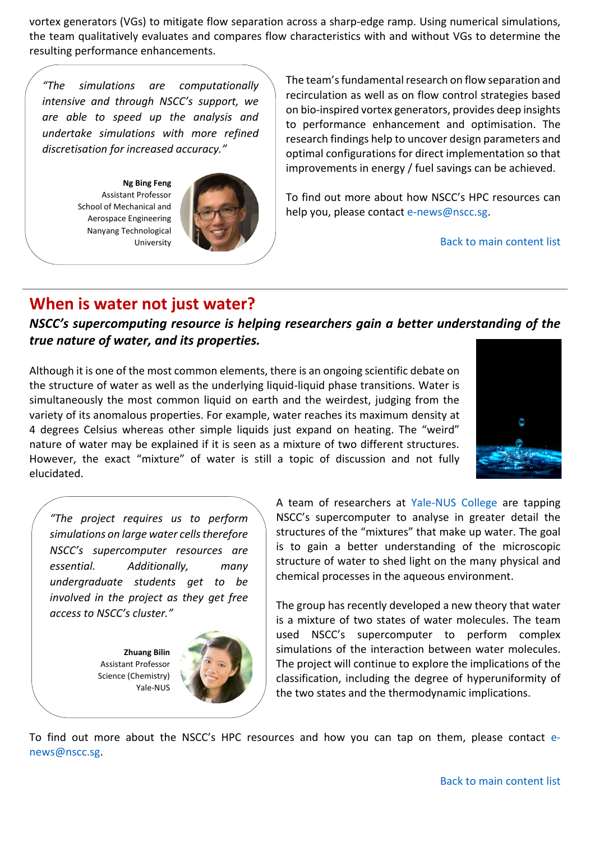vortex generators (VGs) to mitigate flow separation across a sharp-edge ramp. Using numerical simulations, the team qualitatively evaluates and compares flow characteristics with and without VGs to determine the resulting performance enhancements.

*"The simulations are computationally intensive and through NSCC's support, we are able to speed up the analysis and undertake simulations with more refined discretisation for increased accuracy."*

**Ng Bing Feng** Assistant Professor School of Mechanical and Aerospace Engineering Nanyang Technological University



The team's fundamental research on flow separation and recirculation as well as on flow control strategies based on bio-inspired vortex generators, provides deep insights to performance enhancement and optimisation. The research findings help to uncover design parameters and optimal configurations for direct implementation so that improvements in energy / fuel savings can be achieved.

To find out more about how NSCC's HPC resources can help you, please contact [e-news@nscc.sg.](mailto:e-news@nscc.sg)

[Back to main content list](#page-0-1)

## <span id="page-3-0"></span>**When is water not just water?**

*NSCC's supercomputing resource is helping researchers gain a better understanding of the true nature of water, and its properties.*

Although it is one of the most common elements, there is an ongoing scientific debate on the structure of water as well as the underlying liquid-liquid phase transitions. Water is simultaneously the most common liquid on earth and the weirdest, judging from the variety of its anomalous properties. For example, water reaches its maximum density at 4 degrees Celsius whereas other simple liquids just expand on heating. The "weird" nature of water may be explained if it is seen as a mixture of two different structures. However, the exact "mixture" of water is still a topic of discussion and not fully elucidated.



*"The project requires us to perform simulations on large water cells therefore NSCC's supercomputer resources are essential. Additionally, many undergraduate students get to be involved in the project as they get free access to NSCC's cluster."*

> **Zhuang Bilin** Assistant Professor Science (Chemistry) Yale-NUS



A team of researchers at [Yale-NUS College](https://www.yale-nus.edu.sg/) are tapping NSCC's supercomputer to analyse in greater detail the structures of the "mixtures" that make up water. The goal is to gain a better understanding of the microscopic structure of water to shed light on the many physical and chemical processes in the aqueous environment.

The group has recently developed a new theory that water is a mixture of two states of water molecules. The team used NSCC's supercomputer to perform complex simulations of the interaction between water molecules. The project will continue to explore the implications of the classification, including the degree of hyperuniformity of the two states and the thermodynamic implications.

To find out more about the NSCC's HPC resources and how you can tap on them, please contact [e](mailto:e-news@nscc.sg)[news@nscc.sg.](mailto:e-news@nscc.sg)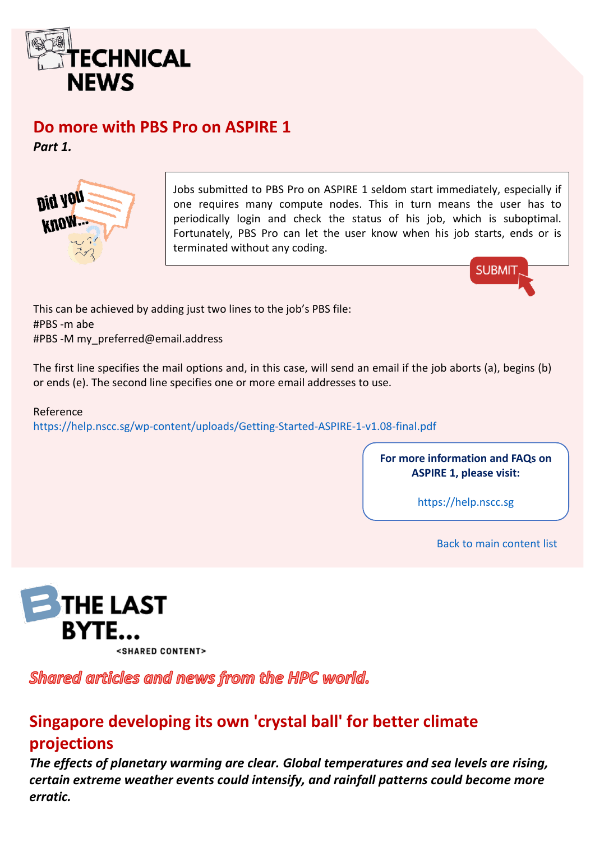

## <span id="page-4-0"></span>**Do more with PBS Pro on ASPIRE 1**

*Part 1.*



Jobs submitted to PBS Pro on ASPIRE 1 seldom start immediately, especially if one requires many compute nodes. This in turn means the user has to periodically login and check the status of his job, which is suboptimal. Fortunately, PBS Pro can let the user know when his job starts, ends or is terminated without any coding.



This can be achieved by adding just two lines to the job's PBS file: #PBS -m abe #PBS -M my\_preferred@email.address

The first line specifies the mail options and, in this case, will send an email if the job aborts (a), begins (b) or ends (e). The second line specifies one or more email addresses to use.

#### Reference

<https://help.nscc.sg/wp-content/uploads/Getting-Started-ASPIRE-1-v1.08-final.pdf>

**For more information and FAQs on ASPIRE 1, please visit:** 

[https://help.nscc.sg](https://help.nscc.sg/)

[Back to main content list](#page-0-1)



Shared articles and news from the HPC world.

## <span id="page-4-1"></span>**Singapore developing its own 'crystal ball' for better climate projections**

*The effects of planetary warming are clear. Global temperatures and sea levels are rising, certain extreme weather events could intensify, and rainfall patterns could become more erratic.*